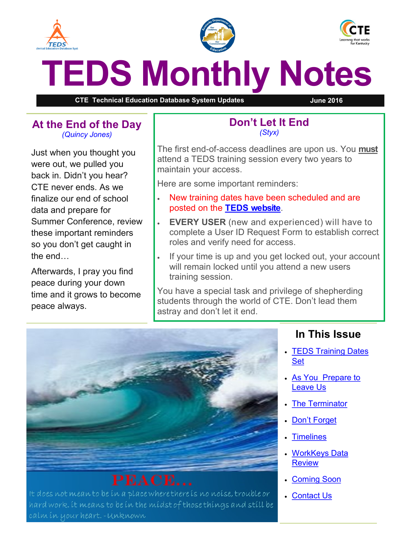<span id="page-0-0"></span>





# **TEDS Monthly Notes**

**CTE Technical Education Database System Updates June 2016**

#### **At the End of the Day** *(Quincy Jones)*

Just when you thought you were out, we pulled you back in. Didn't you hear? CTE never ends. As we finalize our end of school data and prepare for Summer Conference, review these important reminders so you don't get caught in the end…

Afterwards, I pray you find peace during your down time and it grows to become peace always.

#### **Don't Let It End** *(Styx)*

The first end-of-access deadlines are upon us. You **must** attend a TEDS training session every two years to maintain your access.

Here are some important reminders:

- New training dates have been scheduled and are posted on the **[TEDS website](http://education.ky.gov/CTE/teds/Pages/default.aspx)**.
- **EVERY USER** (new and experienced) will have to complete a User ID Request Form to establish correct roles and verify need for access.
- If your time is up and you get locked out, your account will remain locked until you attend a new users training session.

You have a special task and privilege of shepherding students through the world of CTE. Don't lead them astray and don't let it end.



It does not meanto be ín a place where there is no noise, trouble or hard work. it means to be in the midst of those things and still be calm ín your heart. -Unknown

#### **In This Issue**

- [TEDS Training Dates](#page-0-0)  [Set](#page-0-0)
- As You Prepare to [Leave Us](#page-1-0)
- [The Terminator](#page-1-0)
- [Don't Forget](#page-1-0)
- [Timelines](#page-1-0)
- [WorkKeys Data](#page-2-0)  **[Review](#page-2-0)**
- [Coming Soon](#page-2-0)
- [Contact Us](#page-2-0)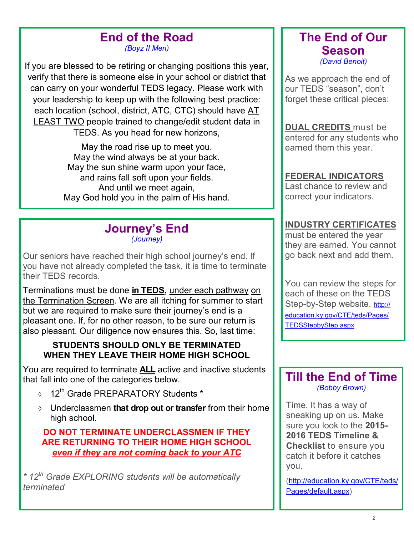# **End of the Road**

*(Boyz II Men)*

<span id="page-1-0"></span>If you are blessed to be retiring or changing positions this year, verify that there is someone else in your school or district that can carry on your wonderful TEDS legacy. Please work with your leadership to keep up with the following best practice: each location (school, district, ATC, CTC) should have AT LEAST TWO people trained to change/edit student data in TEDS. As you head for new horizons,

> May the road rise up to meet you. May the wind always be at your back. May the sun shine warm upon your face, and rains fall soft upon your fields. And until we meet again, May God hold you in the palm of His hand.

#### **Journey's End** *(Journey)*

Our seniors have reached their high school journey's end. If you have not already completed the task, it is time to terminate their TEDS records.

Terminations must be done **in TEDS,** under each pathway on the Termination Screen. We are all itching for summer to start but we are required to make sure their journey's end is a pleasant one. If, for no other reason, to be sure our return is also pleasant. Our diligence now ensures this. So, last time:

#### **STUDENTS SHOULD ONLY BE TERMINATED WHEN THEY LEAVE THEIR HOME HIGH SCHOOL**

You are required to terminate **ALL** active and inactive students that fall into one of the categories below.

- $0.12<sup>th</sup>$  Grade PREPARATORY Students \*
- Underclassmen **that drop out or transfer** from their home high school.

**DO NOT TERMINATE UNDERCLASSMEN IF THEY ARE RETURNING TO THEIR HOME HIGH SCHOOL** *even if they are not coming back to your ATC*

*\* 12th Grade EXPLORING students will be automatically terminated*

#### **The End of Our Season** *(David Benoit)*

As we approach the end of our TEDS "season", don't forget these critical pieces:

**DUAL CREDITS** must be entered for any students who earned them this year.

#### **FEDERAL INDICATORS**

Last chance to review and correct your indicators.

#### **INDUSTRY CERTIFICATES**

must be entered the year they are earned. You cannot go back next and add them.

You can review the steps for each of these on the TEDS Step-by-Step website. [http://](http://education.ky.gov/CTE/teds/Pages/TEDSStepbyStep.aspx)) [education.ky.gov/CTE/teds/Pages/](http://education.ky.gov/CTE/teds/Pages/TEDSStepbyStep.aspx)) [TEDSStepbyStep.aspx](http://education.ky.gov/CTE/teds/Pages/TEDSStepbyStep.aspx))

#### **Till the End of Time** *(Bobby Brown)*

Time. It has a way of sneaking up on us. Make sure you look to the **2015- 2016 TEDS Timeline & Checklist** to ensure you catch it before it catches you.

([http://education.ky.gov/CTE/teds/](http://education.ky.gov/CTE/teds/Pages/default.aspx) [Pages/default.aspx\)](http://education.ky.gov/CTE/teds/Pages/default.aspx)